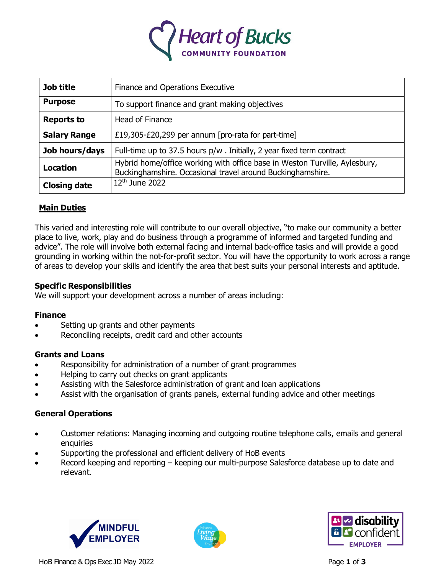

| Job title           | Finance and Operations Executive                                                                                                         |
|---------------------|------------------------------------------------------------------------------------------------------------------------------------------|
| <b>Purpose</b>      | To support finance and grant making objectives                                                                                           |
| <b>Reports to</b>   | Head of Finance                                                                                                                          |
| <b>Salary Range</b> | £19,305-£20,299 per annum [pro-rata for part-time]                                                                                       |
| Job hours/days      | Full-time up to 37.5 hours p/w. Initially, 2 year fixed term contract                                                                    |
| <b>Location</b>     | Hybrid home/office working with office base in Weston Turville, Aylesbury,<br>Buckinghamshire. Occasional travel around Buckinghamshire. |
| <b>Closing date</b> | $12th$ June 2022                                                                                                                         |

# **Main Duties**

This varied and interesting role will contribute to our overall objective, "to make our community a better place to live, work, play and do business through a programme of informed and targeted funding and advice". The role will involve both external facing and internal back-office tasks and will provide a good grounding in working within the not-for-profit sector. You will have the opportunity to work across a range of areas to develop your skills and identify the area that best suits your personal interests and aptitude.

### **Specific Responsibilities**

We will support your development across a number of areas including:

## **Finance**

- Setting up grants and other payments
- Reconciling receipts, credit card and other accounts

### **Grants and Loans**

- Responsibility for administration of a number of grant programmes
- Helping to carry out checks on grant applicants
- Assisting with the Salesforce administration of grant and loan applications
- Assist with the organisation of grants panels, external funding advice and other meetings

# **General Operations**

- Customer relations: Managing incoming and outgoing routine telephone calls, emails and general enquiries
- Supporting the professional and efficient delivery of HoB events
- Record keeping and reporting keeping our multi-purpose Salesforce database up to date and relevant.





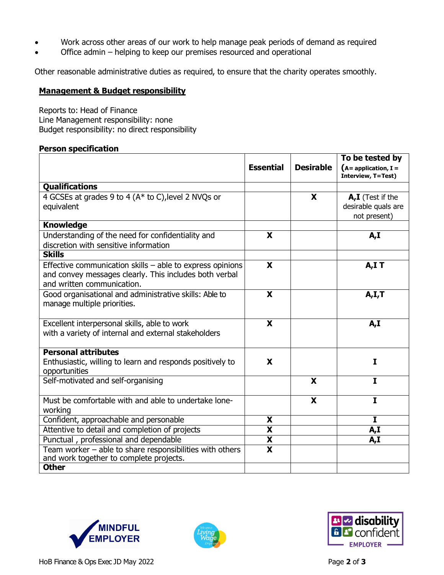- Work across other areas of our work to help manage peak periods of demand as required
- Office admin helping to keep our premises resourced and operational

Other reasonable administrative duties as required, to ensure that the charity operates smoothly.

#### **Management & Budget responsibility**

Reports to: Head of Finance Line Management responsibility: none Budget responsibility: no direct responsibility

#### **Person specification**

|                                                                                                                                                   | <b>Essential</b>        | <b>Desirable</b> | To be tested by<br>$(A = application, I =$<br><b>Interview, T=Test)</b> |
|---------------------------------------------------------------------------------------------------------------------------------------------------|-------------------------|------------------|-------------------------------------------------------------------------|
| <b>Qualifications</b>                                                                                                                             |                         |                  |                                                                         |
| 4 GCSEs at grades 9 to 4 (A* to C), level 2 NVQs or<br>equivalent                                                                                 |                         | X                | A,I (Test if the<br>desirable quals are<br>not present)                 |
| <b>Knowledge</b>                                                                                                                                  |                         |                  |                                                                         |
| Understanding of the need for confidentiality and<br>discretion with sensitive information                                                        | X                       |                  | A, I                                                                    |
| <b>Skills</b>                                                                                                                                     |                         |                  |                                                                         |
| Effective communication skills - able to express opinions<br>and convey messages clearly. This includes both verbal<br>and written communication. | $\overline{\mathbf{x}}$ |                  | A,IT                                                                    |
| Good organisational and administrative skills: Able to<br>manage multiple priorities.                                                             | X                       |                  | A, I, T                                                                 |
| Excellent interpersonal skills, able to work<br>with a variety of internal and external stakeholders                                              | X                       |                  | A,I                                                                     |
| <b>Personal attributes</b>                                                                                                                        |                         |                  |                                                                         |
| Enthusiastic, willing to learn and responds positively to<br>opportunities                                                                        | X                       |                  | $\mathbf I$                                                             |
| Self-motivated and self-organising                                                                                                                |                         | X                | $\mathbf{I}$                                                            |
| Must be comfortable with and able to undertake lone-<br>working                                                                                   |                         | X                | $\mathbf I$                                                             |
| Confident, approachable and personable                                                                                                            | X                       |                  | I.                                                                      |
| Attentive to detail and completion of projects                                                                                                    | $\overline{\mathbf{X}}$ |                  | A,I                                                                     |
| Punctual, professional and dependable                                                                                                             | $\overline{\mathbf{X}}$ |                  | A,I                                                                     |
| Team worker $-$ able to share responsibilities with others<br>and work together to complete projects.                                             | $\overline{\mathbf{X}}$ |                  |                                                                         |
| <b>Other</b>                                                                                                                                      |                         |                  |                                                                         |